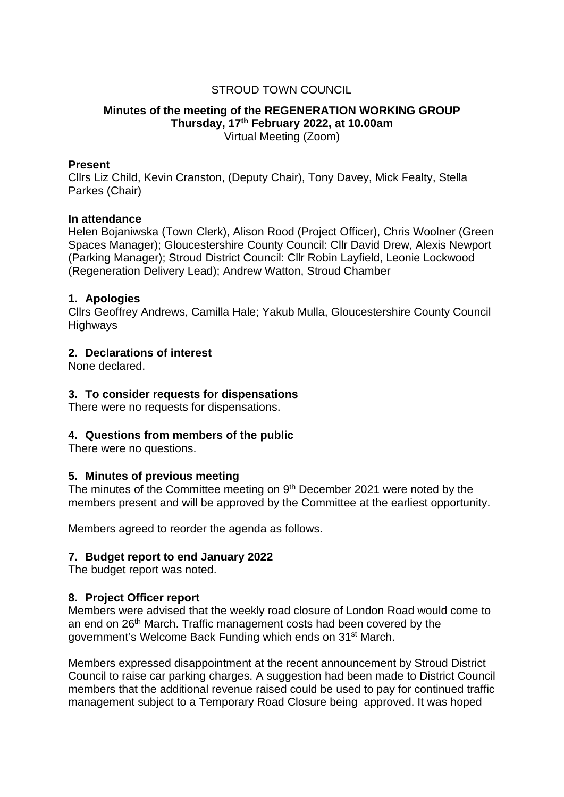# STROUD TOWN COUNCIL

### **Minutes of the meeting of the REGENERATION WORKING GROUP Thursday, 17th February 2022, at 10.00am** Virtual Meeting (Zoom)

#### **Present**

Cllrs Liz Child, Kevin Cranston, (Deputy Chair), Tony Davey, Mick Fealty, Stella Parkes (Chair)

### **In attendance**

Helen Bojaniwska (Town Clerk), Alison Rood (Project Officer), Chris Woolner (Green Spaces Manager); Gloucestershire County Council: Cllr David Drew, Alexis Newport (Parking Manager); Stroud District Council: Cllr Robin Layfield, Leonie Lockwood (Regeneration Delivery Lead); Andrew Watton, Stroud Chamber

### **1. Apologies**

Cllrs Geoffrey Andrews, Camilla Hale; Yakub Mulla, Gloucestershire County Council Highways

## **2. Declarations of interest**

None declared.

### **3. To consider requests for dispensations**

There were no requests for dispensations.

## **4. Questions from members of the public**

There were no questions.

#### **5. Minutes of previous meeting**

The minutes of the Committee meeting on 9<sup>th</sup> December 2021 were noted by the members present and will be approved by the Committee at the earliest opportunity.

Members agreed to reorder the agenda as follows.

#### **7. Budget report to end January 2022**

The budget report was noted.

## **8. Project Officer report**

Members were advised that the weekly road closure of London Road would come to an end on 26<sup>th</sup> March. Traffic management costs had been covered by the government's Welcome Back Funding which ends on 31st March.

Members expressed disappointment at the recent announcement by Stroud District Council to raise car parking charges. A suggestion had been made to District Council members that the additional revenue raised could be used to pay for continued traffic management subject to a Temporary Road Closure being approved. It was hoped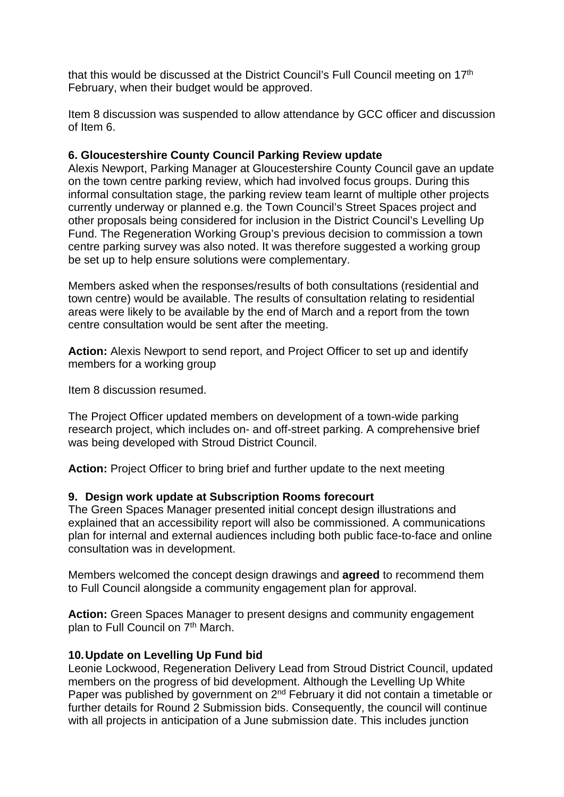that this would be discussed at the District Council's Full Council meeting on 17th February, when their budget would be approved.

Item 8 discussion was suspended to allow attendance by GCC officer and discussion of Item 6.

# **6. Gloucestershire County Council Parking Review update**

Alexis Newport, Parking Manager at Gloucestershire County Council gave an update on the town centre parking review, which had involved focus groups. During this informal consultation stage, the parking review team learnt of multiple other projects currently underway or planned e.g. the Town Council's Street Spaces project and other proposals being considered for inclusion in the District Council's Levelling Up Fund. The Regeneration Working Group's previous decision to commission a town centre parking survey was also noted. It was therefore suggested a working group be set up to help ensure solutions were complementary.

Members asked when the responses/results of both consultations (residential and town centre) would be available. The results of consultation relating to residential areas were likely to be available by the end of March and a report from the town centre consultation would be sent after the meeting.

**Action:** Alexis Newport to send report, and Project Officer to set up and identify members for a working group

Item 8 discussion resumed.

The Project Officer updated members on development of a town-wide parking research project, which includes on- and off-street parking. A comprehensive brief was being developed with Stroud District Council.

**Action:** Project Officer to bring brief and further update to the next meeting

## **9. Design work update at Subscription Rooms forecourt**

The Green Spaces Manager presented initial concept design illustrations and explained that an accessibility report will also be commissioned. A communications plan for internal and external audiences including both public face-to-face and online consultation was in development.

Members welcomed the concept design drawings and **agreed** to recommend them to Full Council alongside a community engagement plan for approval.

**Action:** Green Spaces Manager to present designs and community engagement plan to Full Council on 7<sup>th</sup> March.

## **10.Update on Levelling Up Fund bid**

Leonie Lockwood, Regeneration Delivery Lead from Stroud District Council, updated members on the progress of bid development. Although the Levelling Up White Paper was published by government on 2<sup>nd</sup> February it did not contain a timetable or further details for Round 2 Submission bids. Consequently, the council will continue with all projects in anticipation of a June submission date. This includes junction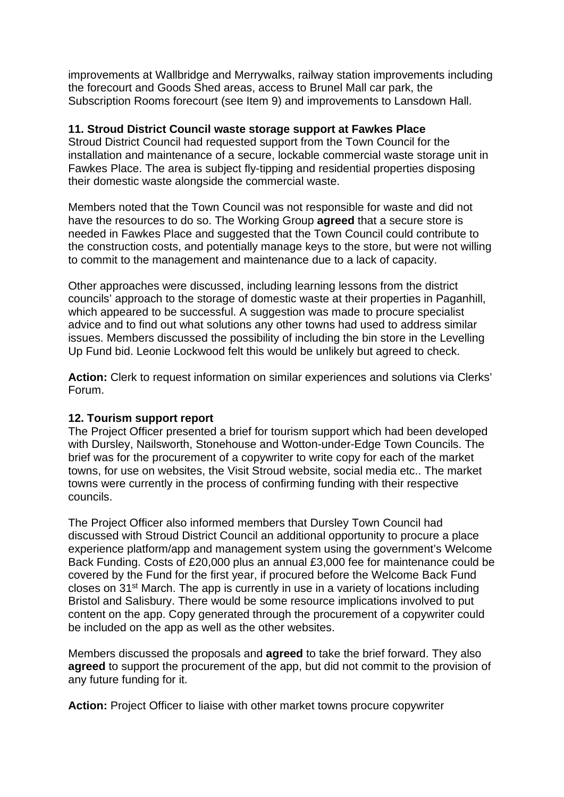improvements at Wallbridge and Merrywalks, railway station improvements including the forecourt and Goods Shed areas, access to Brunel Mall car park, the Subscription Rooms forecourt (see Item 9) and improvements to Lansdown Hall.

# **11. Stroud District Council waste storage support at Fawkes Place**

Stroud District Council had requested support from the Town Council for the installation and maintenance of a secure, lockable commercial waste storage unit in Fawkes Place. The area is subject fly-tipping and residential properties disposing their domestic waste alongside the commercial waste.

Members noted that the Town Council was not responsible for waste and did not have the resources to do so. The Working Group **agreed** that a secure store is needed in Fawkes Place and suggested that the Town Council could contribute to the construction costs, and potentially manage keys to the store, but were not willing to commit to the management and maintenance due to a lack of capacity.

Other approaches were discussed, including learning lessons from the district councils' approach to the storage of domestic waste at their properties in Paganhill, which appeared to be successful. A suggestion was made to procure specialist advice and to find out what solutions any other towns had used to address similar issues. Members discussed the possibility of including the bin store in the Levelling Up Fund bid. Leonie Lockwood felt this would be unlikely but agreed to check.

**Action:** Clerk to request information on similar experiences and solutions via Clerks' Forum.

## **12. Tourism support report**

The Project Officer presented a brief for tourism support which had been developed with Dursley, Nailsworth, Stonehouse and Wotton-under-Edge Town Councils. The brief was for the procurement of a copywriter to write copy for each of the market towns, for use on websites, the Visit Stroud website, social media etc.. The market towns were currently in the process of confirming funding with their respective councils.

The Project Officer also informed members that Dursley Town Council had discussed with Stroud District Council an additional opportunity to procure a place experience platform/app and management system using the government's Welcome Back Funding. Costs of £20,000 plus an annual £3,000 fee for maintenance could be covered by the Fund for the first year, if procured before the Welcome Back Fund closes on 31st March. The app is currently in use in a variety of locations including Bristol and Salisbury. There would be some resource implications involved to put content on the app. Copy generated through the procurement of a copywriter could be included on the app as well as the other websites.

Members discussed the proposals and **agreed** to take the brief forward. They also **agreed** to support the procurement of the app, but did not commit to the provision of any future funding for it.

**Action:** Project Officer to liaise with other market towns procure copywriter